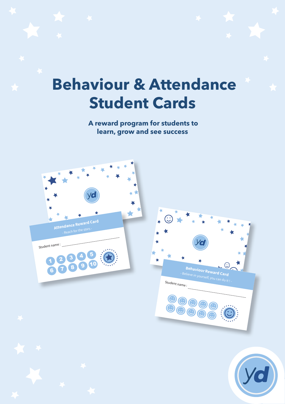## **Behaviour & Attendance Student Cards**

 **A reward program for students to learn, grow and see success**